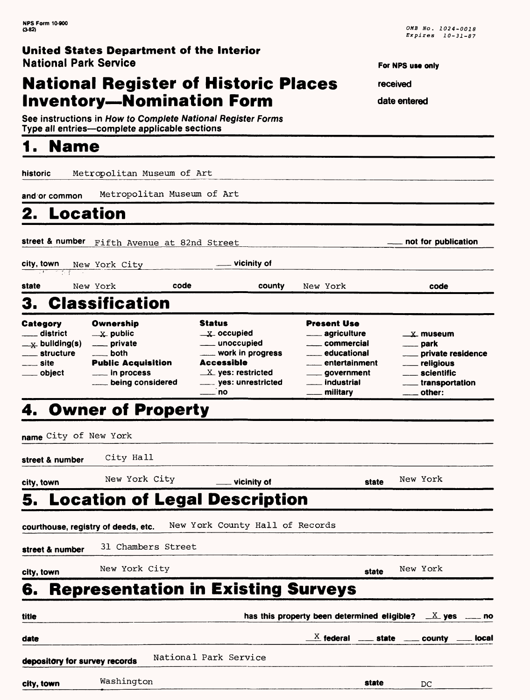## **National Register of Historic Places Inventory—Nomination Form**

See instructions in How to Complete National Register Forms Type all entries—complete applicable sections\_\_\_\_\_\_\_\_\_\_\_\_\_\_\_\_

# **1. Name\_\_\_\_\_\_\_\_\_\_\_\_\_\_\_\_\_\_**

historic Metropolitan Museum of Art

**and or common** Metropolitan Museum of Art

## **2. Location**

**street & number** Fifth Avenue at 82nd Street **notice in the contract of the publication** 

**city, town** New York City **vicinity of**

**state** New York **code county** New York **code**

# 3. Classification

| Category                   | Ownership                 | <b>Status</b>                      | <b>Present Use</b>                     |                                        |
|----------------------------|---------------------------|------------------------------------|----------------------------------------|----------------------------------------|
| ___ district               | $\mathbf{x}$ public       | $\mathbf{x}$ occupied              | <u>_</u> ____ agriculture              | $\mathbf{X}$ museum                    |
| $x$ building(s)            | _____ private             | _____ unoccupied                   | commercial                             | $\equiv$ park                          |
| <sub>__</sub> __ structure | __ both                   | ____ work in progress              | educational                            | ___ private residence                  |
| ___ site                   | <b>Public Acquisition</b> | <b>Accessible</b>                  | ___ entertainment                      | __ religious                           |
| ___ object                 | $\equiv$ in process       | $X$ yes: restricted                | ____ government                        | ___ scientific                         |
|                            | being considered          | _____ yes: unrestricted<br>____ no | ___ industrial<br><u>_</u> __ military | ____ transportation<br>$\equiv$ other: |

# 4. Owner of Property

| name City of New York               |                    |                                           |       |                                                                                                      |  |
|-------------------------------------|--------------------|-------------------------------------------|-------|------------------------------------------------------------------------------------------------------|--|
| street & number                     | City Hall          |                                           |       |                                                                                                      |  |
| city, town                          | New York City      | <u>__</u> _ vicinity of                   | state | New York                                                                                             |  |
|                                     |                    | <b>5. Location of Legal Description</b>   |       |                                                                                                      |  |
| courthouse, registry of deeds, etc. |                    | New York County Hall of Records           |       |                                                                                                      |  |
| street & number                     | 31 Chambers Street |                                           |       |                                                                                                      |  |
| city, town                          | New York City      |                                           | state | New York                                                                                             |  |
| 6.                                  |                    | <b>Representation in Existing Surveys</b> |       |                                                                                                      |  |
| title                               |                    |                                           |       | has this property been determined eligible? $\_\&$ yes $\_\&$ no                                     |  |
| date                                |                    |                                           |       | $\underline{\hphantom{a}}^X$ federal $\hphantom{a}$ state $\hphantom{a}$ county $\hphantom{a}$ local |  |
| depository for survey records       |                    | National Park Service                     |       |                                                                                                      |  |
| city, town                          | Washington         |                                           | state | DC                                                                                                   |  |

**For NPS use only** 

**received** 

**date entered**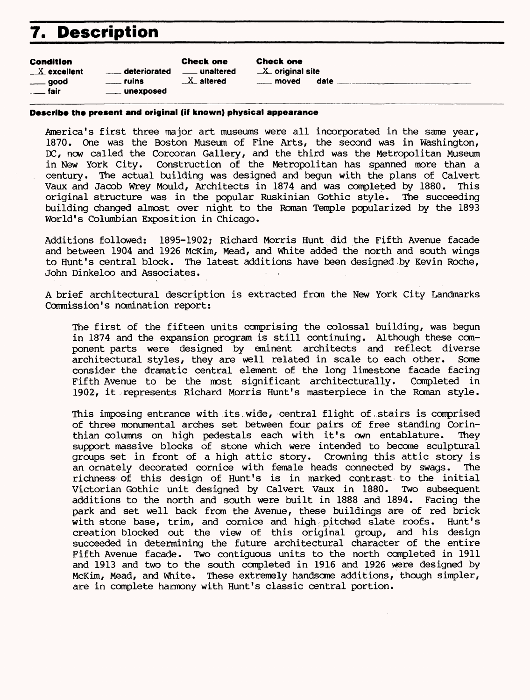# **7. Description**

| Condition     |
|---------------|
| $X$ excellent |

good fair

|                  | <b>Check one</b> |
|------------------|------------------|
| deteriorated     | unaltered        |
| <b>Example 1</b> | $X$ altered      |
| unexposed        |                  |

Check one  $X$  original site

moved date

#### **Describe the present and original (if known) physical appearance**

America's first three major art museums were all incorporated in the same year, 1870. One was the Boston Museum of Fine Arts, the second was in Washington, **DC,** now called the Corcoran Gallery, and the third was the Metropolitan Museum in New York City. Construction of the Metropolitan has spanned more than a century. The actual building was designed and begun with the plans of Calvert Vaux and Jacob Wrey Mould, Architects in 1874 and was completed by 1880. This original structure was in the popular Ruskinian Gothic style. The succeeding building changed almost over night to the Roman Temple popularized by the 1893 World's Columbian Exposition in Chicago.

Additions followed: 1895-1902; Richard Morris Hunt did the Fifth Avenue facade and between 1904 and 1926 McKim, Mead, and White added the north and south wings to Hunt's central block. The latest additions have been designed by Kevin Roche, John Dinkeloo and Associates.

A brief architectural description is extracted from the New York City Landmarks Commission's nomination report:

The first of the fifteen units comprising the colossal building, was begun in 1874 and the expansion program is still continuing. Although these component parts were designed by eminent architects and reflect diverse architectural styles, they are well related in scale to each other. Some consider the dramatic central element of the long limestone facade facing Fifth Avenue to be the most significant architecturally. Completed in 1902, it represents Richard Morris Hunt's masterpiece in the Roman style.

This imposing entrance with its.wide, central flight of.stairs is comprised of three monumental arches set between four pairs of free standing Corinthian columns on high pedestals each with it's own entablature. They support massive blocks of stone which were intended to become sculptural groups set in front of a high attic story. Crowning this attic story is an ornately decorated cornice with female heads connected by swags. The richness' of this design of Hunt's is in marked contrast; to the initial Victorian Gothic unit designed by Calvert Vaux in 1880. Two subsequent additions to the north and south were built in 1888 and 1894. Facing the park and set well back from the Avenue, these buildings are of red brick with stone base, trim, and cornice and high pitched slate roofs. Hunt's creation blocked out the view of this original group, and his design succeeded in determining the future architectural character of the entire Fifth Avenue facade. Two contiguous units to the north completed in 1911 and 1913 and two to the south completed in 1916 and 1^26 were designed by McKim, Mead, and White. These extremely handsome additions, though simpler, are in complete harmony with Hunt's classic central portion.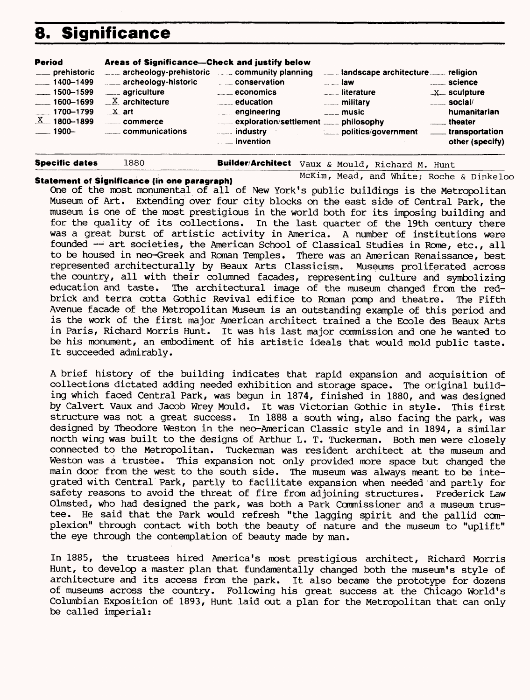## **8. Significance**

| <b>Period</b>                                                                                                                         | Areas of Significance---Check and justify below                                                                                                                                |                                                                                                                                                                    |                                                                                                                                                 |                                                                                                                                                |
|---------------------------------------------------------------------------------------------------------------------------------------|--------------------------------------------------------------------------------------------------------------------------------------------------------------------------------|--------------------------------------------------------------------------------------------------------------------------------------------------------------------|-------------------------------------------------------------------------------------------------------------------------------------------------|------------------------------------------------------------------------------------------------------------------------------------------------|
| ___ prehistoric<br>$-1400 - 1499$<br>$\frac{1}{2}$ 1500-1599<br>$-1600 - 1699$<br>$-1700 - 1799$<br>$X = 1800 - 1899$<br>.____ 1900-- | $\frac{1}{2}$ archeology-prehistoric $\frac{1}{2}$ community planning<br>archeology-historic<br>___ agriculture<br>$X$ architecture<br>$\_X$ art<br>commerce<br>communications | conservation<br>$\overline{\phantom{a} \phantom{a}}$ economics<br>$\frac{1}{2}$ education<br>$\blacksquare$ engineering<br><b>Example 10</b> industry<br>invention | $\sim$ $\sim$ law<br><b>Example 1</b> iterature<br><b>EXAMPLE MILITARY</b><br>$\overline{\phantom{a} \phantom{a}}$ music<br>politics/government | <u>__</u> ___ science<br>$-X$ sculpture<br>$\frac{1}{2}$ social/<br>humanitarian<br>theater<br>____ transportation<br>$\equiv$ other (specify) |
|                                                                                                                                       |                                                                                                                                                                                |                                                                                                                                                                    |                                                                                                                                                 |                                                                                                                                                |

| ______                |      |                                                 |  |  |
|-----------------------|------|-------------------------------------------------|--|--|
| <b>Specific dates</b> | 1880 | Builder/Architect Vaux & Mould, Richard M. Hunt |  |  |

### **Statement of Significance (in one paragraph)** McKim, Mead, and White; Roche & Dinkeloo

One of the most monumental of all of New York's public buildings is the Metropolitan Museum of Art. Extending over four city blocks on the east side of Central Park, the museum is one of the most prestigious in the world both for its imposing building and for the quality of its collections. In the last quarter of the 19th century there was a great burst of artistic activity in America. A number of institutions were founded —*'•* art societies, the American School of Classical Studies in Rome, etc., all to be housed in neo-Greek and Roman Temples. There was an American Renaissance, best represented architecturally by Beaux Arts Classicism. Museums proliferated across the country, all with their columned facades, representing culture and symbolizing education and taste. The architectural image of the museum changed from the redbrick and terra cotta Gothic Revival edifice to Roman pomp and theatre. The Fifth Avenue facade of the Metropolitan Museum is an outstanding example of this period and is the work of the first major American architect trained a the Ecole des Beaux Arts in Paris, Richard Morris Hunt. It was his last major commission and one he wanted to be his monument, an embodiment of his artistic ideals that would mold public taste. It succeeded admirably.

A brief history of the building indicates that rapid expansion and acquisition of collections dictated adding needed exhibition and storage space. The original building which faced Central Park, was begun in 1874, finished in 1880, and was designed by Calvert Vaux and Jacob Wrey Mould. It was Victorian Gothic in style. This first structure was not a great success. In 1888 a south wing, also facing the park, was designed by Theodore Weston in the neo-American Classic style and in 1894, a similar north wing was built to the designs of Arthur L. T. Tuckerman. Both men were closely connected to the Metropolitan. Tuckerman was resident architect at the museum and Weston was a trustee. This expansion not only provided more space but changed the main door from the west to the south side. The museum was always meant to be integrated with Central Park, partly to facilitate expansion when needed and partly for safety reasons to avoid the threat of fire from adjoining structures. Frederick Law Olmsted, who had designed the park, was both a Park Commissioner and a museum trustee. He said that the Park would refresh "the lagging spirit and the pallid complexion" through contact with both the beauty of nature and the museum to "uplift" the eye through the contemplation of beauty made by man.

In 1885, the trustees hired America's most prestigious architect, Richard Morris Hunt, to develop a master plan that fundamentally changed both the museum's style of architecture and its access from the park. It also became the prototype for dozens of museums across the country. Following his great success at the Chicago World's Columbian Exposition of 1893, Hunt laid out a plan for the Metropolitan that can only be called imperial: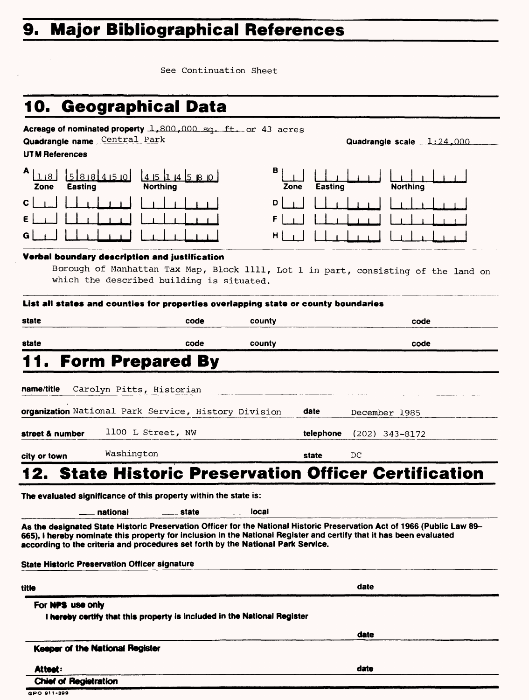# **9. Major Bibliographical References**

See Continuation Sheet

# **10. Geographical Data**

| Quadrangle name Central Park                  | <b>Acreage of nominated property 1,800,000 sq. ft. or 43 acres</b>                 |           | Quadrangle scale $1:24,000$                                                                                                                                                                                                                     |  |
|-----------------------------------------------|------------------------------------------------------------------------------------|-----------|-------------------------------------------------------------------------------------------------------------------------------------------------------------------------------------------------------------------------------------------------|--|
| <b>UTM References</b>                         |                                                                                    |           |                                                                                                                                                                                                                                                 |  |
| A<br>5888450<br><b>Easting</b><br>Zone        | 145114580<br><b>Northing</b>                                                       | в<br>Zone | Easting<br><b>Northing</b>                                                                                                                                                                                                                      |  |
| С                                             |                                                                                    | D         |                                                                                                                                                                                                                                                 |  |
|                                               |                                                                                    | F         |                                                                                                                                                                                                                                                 |  |
| G                                             |                                                                                    | н         |                                                                                                                                                                                                                                                 |  |
|                                               | Verbal boundary description and justification                                      |           |                                                                                                                                                                                                                                                 |  |
|                                               |                                                                                    |           | Borough of Manhattan Tax Map, Block 1111, Lot 1 in part, consisting of the land on                                                                                                                                                              |  |
|                                               | which the described building is situated.                                          |           |                                                                                                                                                                                                                                                 |  |
|                                               |                                                                                    |           |                                                                                                                                                                                                                                                 |  |
|                                               | List all states and counties for properties overlapping state or county boundaries |           |                                                                                                                                                                                                                                                 |  |
| state                                         | code                                                                               | county    | code                                                                                                                                                                                                                                            |  |
| state                                         | code                                                                               | county    | code                                                                                                                                                                                                                                            |  |
|                                               | <b>Form Prepared By</b>                                                            |           |                                                                                                                                                                                                                                                 |  |
|                                               |                                                                                    |           |                                                                                                                                                                                                                                                 |  |
| name/title                                    | Carolyn Pitts, Historian                                                           |           |                                                                                                                                                                                                                                                 |  |
|                                               | organization National Park Service, History Division                               |           | date<br>December 1985                                                                                                                                                                                                                           |  |
| street & number                               | 1100 L Street, NW                                                                  |           | telephone<br>$(202)$ 343-8172                                                                                                                                                                                                                   |  |
| city or town                                  | Washington                                                                         |           | DС<br>state                                                                                                                                                                                                                                     |  |
|                                               |                                                                                    |           | 12. State Historic Preservation Officer Certification                                                                                                                                                                                           |  |
|                                               | The evaluated significance of this property within the state is:                   |           |                                                                                                                                                                                                                                                 |  |
|                                               | national<br>__ state                                                               | local     |                                                                                                                                                                                                                                                 |  |
| State Historic Preservation Officer signature | according to the criteria and procedures set forth by the National Park Service.   |           | As the designated State Historic Preservation Officer for the National Historic Preservation Act of 1966 (Public Law 89-<br>665), I hereby nominate this property for inclusion in the National Register and certify that it has been evaluated |  |
|                                               |                                                                                    |           |                                                                                                                                                                                                                                                 |  |
| title                                         |                                                                                    |           | date                                                                                                                                                                                                                                            |  |
| For NPS use only                              |                                                                                    |           |                                                                                                                                                                                                                                                 |  |
|                                               | I hereby certify that this property is included in the National Register           |           |                                                                                                                                                                                                                                                 |  |
| Keeper of the National Register               |                                                                                    |           | date                                                                                                                                                                                                                                            |  |
|                                               |                                                                                    |           |                                                                                                                                                                                                                                                 |  |
| Attest:                                       |                                                                                    |           | date                                                                                                                                                                                                                                            |  |

**Chief of Registration**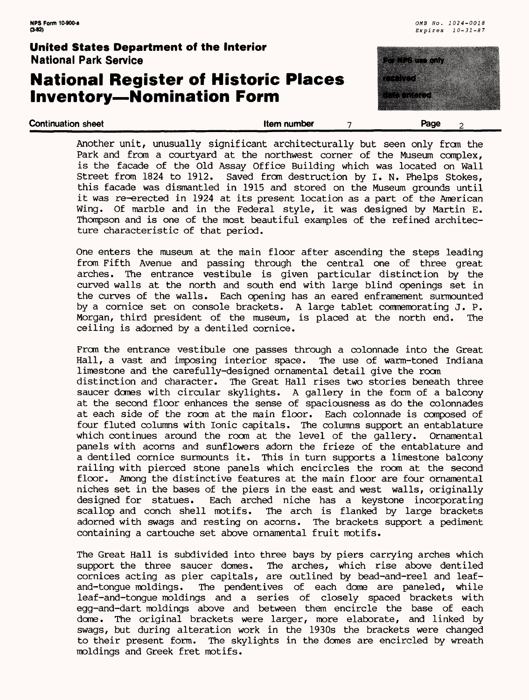### **National Register of Historic Places Inventory—Nomination Form**



Another unit, unusually significant architecturally but seen only from the Park and from a courtyard at the northwest corner of the Museum complex, is the facade of the Old Assay Office Building which was located on Wall Street from 1824 to 1912. Saved from destruction by I. N. Phelps Stokes, this facade was dismantled in 1915 and stored on the Museum grounds until it was re-erected in 1924 at its present location as a part of the American Wing. Of marble and in the Federal style, it was designed by Martin E. Thompson and is one of the most beautiful examples of the refined architecture characteristic of that period.

**Continuation sheet** the continuation sheet the continuation sheet the continuation sheet the continuation of the continuation of the continuation of the continuation of the continuation of the continuation of the continua

One enters the museum at the main floor after ascending the steps leading from Fifth Avenue and passing through the central one of three great arches. The entrance vestibule is given particular distinction by the curved walls at the north and south end with large blind openings set in the curves of the walls. Each opening has an eared enframement surmounted by a cornice set on console brackets. A large tablet commemorating J. P. Morgan, third president of the museum, is placed at the north end. The ceiling is adorned by a dentiled cornice.

From the entrance vestibule one passes through a colonnade into the Great Hall, a vast and imposing interior space. The use of warm-toned Indiana limestone and the carefully-designed ornamental detail give the room distinction and character. The Great Hall rises two stories beneath three saucer domes with circular skylights. A gallery in the form of a balcony at the second floor enhances the sense of spaciousness as do the colonnades at each side of the room at the main floor. Each colonnade is composed of four fluted columns with Ionic capitals. The columns support an entablature which continues around the room at the level of the gallery. Ornamental panels with acorns and sunflowers adorn the frieze of the entablature and a dentiled cornice surmounts it. This in turn supports a limestone balcony railing with pierced stone panels which encircles the room at the second floor. Among the distinctive features at the main floor are four ornamental niches set in the bases of the piers in the east and west walls, originally designed for statues. Each arched niche has a keystone incorporating scallop and conch shell motifs. The arch is flanked by large brackets adorned with swags and resting on acorns. The brackets support a pediment containing a cartouche set above ornamental fruit motifs.

The Great Hall is subdivided into three bays by piers carrying arches which support the three saucer domes. The arches, which rise above dentiled cornices acting as pier capitals, are outlined by bead-and-reel and leafand-tongue moldings. The pendentives of each dome are paneled, while leaf-and-tongue moldings and a series of closely spaced brackets with egg-and-dart moldings above and between them encircle the base of each dome. The original brackets were larger, more elaborate, and linked by swags, but during alteration work in the 1930s the brackets were changed to their present form. The skylights in the domes are encircled by wreath moldings and Greek fret motifs.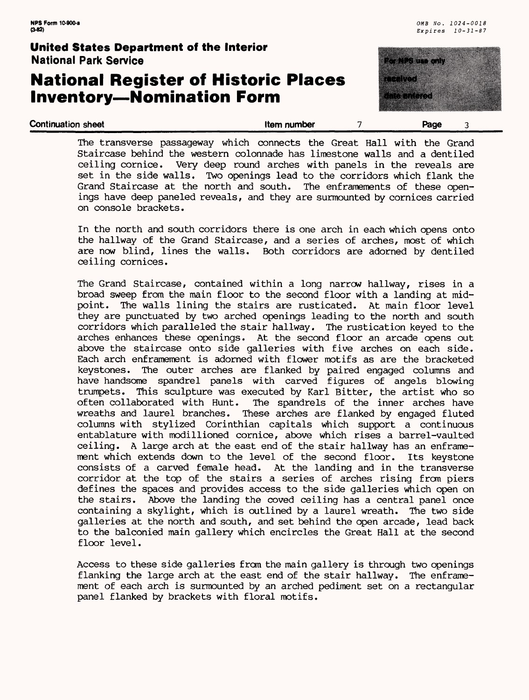### **National Register of Historic Places Inventory—Nomination Form**



The transverse passageway which connects the Great Hall with the Grand Staircase behind the western colonnade has limestone walls and a dentiled ceiling cornice. Very deep round arches with panels in the reveals are set in the side walls. Two openings lead to the corridors which flank the Grand Staircase at the north and south. The enframements of these openings have deep paneled reveals, and they are surmounted by cornices carried on console brackets.

**Continuation sheet** the state of the state of the state of the state of the state of the state of the state of the state of the state of the state of the state of the state of the state of the state of the state of the st

In the north and south corridors there is one arch in each which opens onto the hallway of the Grand Staircase, and a series of arches, most of which are now blind, lines the walls. Both corridors are adorned by dentiled ceiling cornices.

The Grand Staircase, contained within a long narrow hallway, rises in a broad sweep from the main floor to the second floor with a landing at midpoint. The walls lining the stairs are rusticated. At main floor level they are punctuated by two arched openings leading to the north and south corridors which paralleled the stair hallway. The rustication keyed to the arches enhances these openings. At the second floor an arcade opens out above the staircase onto side galleries with five arches on each side. Each arch enframement is adorned with flower motifs as are the bracketed keystones. The outer arches are flanked by paired engaged columns and have handsome spandrel panels with carved figures of angels blowing trumpets. This sculpture was executed by Karl Bitter, the artist who so often collaborated with Hunt. The spandrels of the inner arches have wreaths and laurel branches. These arches are flanked by engaged fluted columns with stylized Corinthian capitals which support a continuous entablature with modillioned cornice, above which rises a barrel-vaulted ceiling. A large arch at the east end of the stair hallway has an enframement which extends down to the level of the second floor. Its keystone consists of a carved female head. At the landing and in the transverse At the landing and in the transverse corridor at the top of the stairs a series of arches rising from piers defines the spaces and provides access to the side galleries which open on the stairs. Above the landing the coved ceiling has a central panel once containing a skylight, which is outlined by a laurel wreath. The two side galleries at the north and south, and set behind the open arcade, lead back to the balconied main gallery which encircles the Great Hall at the second floor level.

Access to these side galleries from the main gallery is through two openings flanking the large arch at the east end of the stair hallway. The enframement of each arch is surmounted by an arched pediment set on a rectangular panel flanked by brackets with floral motifs.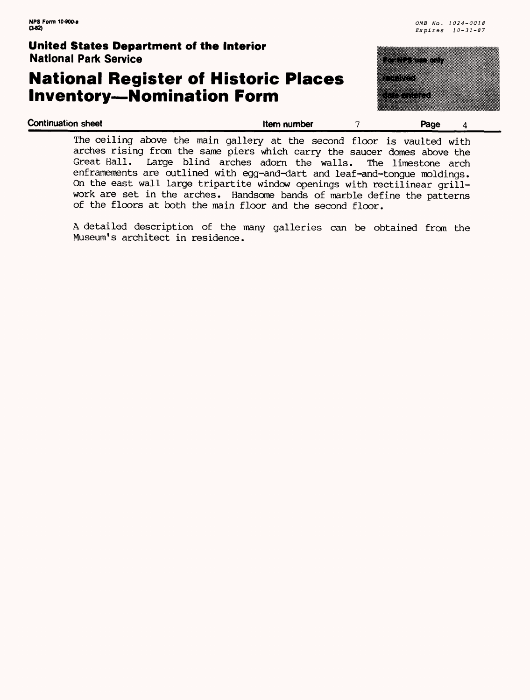### **National Register of Historic Places Inventory—Nomination Form**



| <b>Continuation sheet</b>                                                                                                                                                                                                                                                                             | Item number | Page |  |
|-------------------------------------------------------------------------------------------------------------------------------------------------------------------------------------------------------------------------------------------------------------------------------------------------------|-------------|------|--|
| The ceiling above the main gallery at the second floor is vaulted with<br>arches rising from the same piers which carry the saucer domes above the<br>Great Hall. Large blind arches adorn the walls. The limestone arch<br>enframements are outlined with egg-and-dart and leaf-and-tonque moldings. |             |      |  |
| On the east wall large tripartite window openings with rectilinear grill-<br>work are set in the arches. Handsome bands of marble define the patterns                                                                                                                                                 |             |      |  |

of the floors at both the main floor and the second floor.

A detailed description of the many galleries can be obtained from the Museum's architect in residence.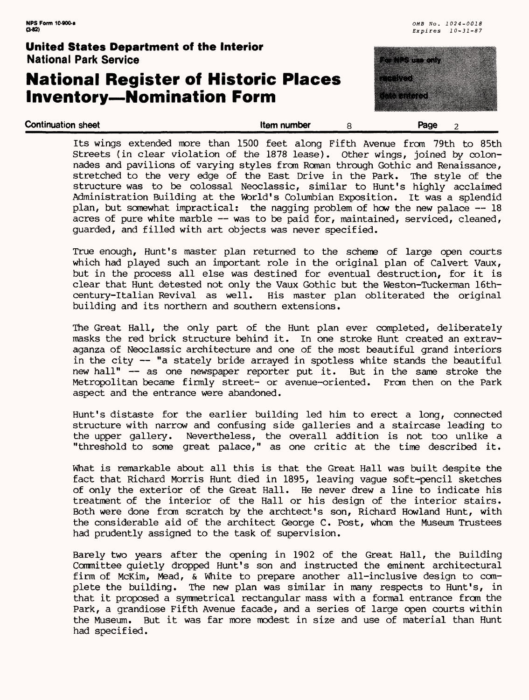### **National Register of Historic Places Inventory—Nomination Form**



| Its wings extended more than 1500 feet along Fifth Avenue from 79th to 85th         |
|-------------------------------------------------------------------------------------|
| Streets (in clear violation of the 1878 lease). Other wings, joined by colon-       |
| nades and pavilions of varying styles from Roman through Gothic and Renaissance,    |
| stretched to the very edge of the East Drive in the Park. The style of the          |
| structure was to be colossal Neoclassic, similar to Hunt's highly acclaimed         |
| Administration Building at the World's Columbian Exposition. It was a splendid      |
| plan, but somewhat impractical: the nagging problem of how the new palace -- 18     |
| acres of pure white marble $-$ - was to be paid for, maintained, serviced, cleaned, |
| guarded, and filled with art objects was never specified.                           |

**Continuation sheet that is a continuation sheet that is a continuation sheet that is a continuation sheet that is a continuation sheet that is a continuation sheet that is a continuation sheet that is a continuation sheet** 

True enough, Hunt's master plan returned to the scheme of large open courts which had played such an important role in the original plan of Calvert Vaux, but in the process all else was destined for eventual destruction, for it is clear that Hunt detested not only the Vaux Gothic but the Weston-Tuckerman 16th-<br>century-Italian Revival as well. His master plan obliterated the original His master plan obliterated the original building and its northern and southern extensions.

The Great Hall, the only part of the Hunt plan ever completed, deliberately masks the red brick structure behind it. In one stroke Hunt created an extravaganza of Neoclassic architecture and one of the most beautiful grand interiors in the city — "a stately bride arrayed in spotless white stands the beautiful new hall" — as one newspaper reporter put it. But in the same stroke the Metropolitan became firmly street- or avenue-oriented. From then on the Park aspect and the entrance were abandoned.

Hunt's distaste for the earlier building led him to erect a long, connected structure with narrow and confusing side galleries and a staircase leading to the upper gallery. Nevertheless, the overall addition is not too unlike a "threshold to some great palace," as one critic at the time described it.

What is remarkable about all this is that the Great Hall was built despite the fact that Richard Morris Hunt died in 1895, leaving vague soft-pencil sketches of only the exterior of the Great Hall. He never drew a line to indicate his treatment of the interior of the Hall or his design of the interior stairs. Both were done from scratch by the archtect's son, Richard Howland Hunt, with the considerable aid of the architect George C. Post, whom the Museum Trustees had prudently assigned to the task of supervision.

Barely two years after the opening in 1902 of the Great Hall, the Building Committee quietly dropped Hunt's son and instructed the eminent architectural firm of McKim, Mead, & White to prepare another all-inclusive design to complete the building. The new plan was similar in many respects to Hunt's, in that it proposed a symmetrical rectangular mass with a formal entrance from the Park, a grandiose Fifth Avenue facade, and a series of large open courts within the Museum. But it was far more modest in size and use of material than Hunt had specified.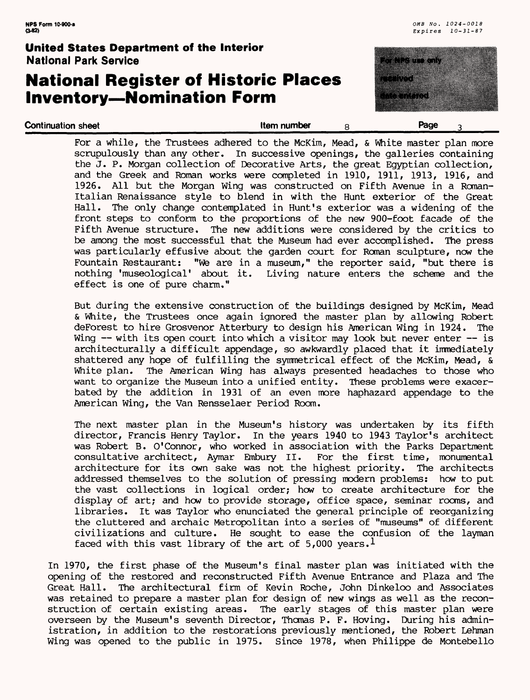### **National Register of Historic Places Inventory—Nomination Form**



| For a while, the Trustees adhered to the McKim, Mead, & White master plan more<br>scrupulously than any other. In successive openings, the galleries containing |
|-----------------------------------------------------------------------------------------------------------------------------------------------------------------|
| the J. P. Morgan collection of Decorative Arts, the great Egyptian collection,                                                                                  |
| and the Greek and Roman works were completed in 1910, 1911, 1913, 1916, and<br>1926. All but the Morgan Wing was constructed on Fifth Avenue in a Roman-        |
| Italian Renaissance style to blend in with the Hunt exterior of the Great                                                                                       |
| Hall. The only change contemplated in Hunt's exterior was a widening of the                                                                                     |
| front steps to conform to the proportions of the new 900-foot facade of the                                                                                     |
| Fifth Avenue structure. The new additions were considered by the critics to                                                                                     |
| be among the most successful that the Museum had ever accomplished. The press                                                                                   |
| was particularly effusive about the garden court for Roman sculpture, now the                                                                                   |
| Fountain Restaurant: "We are in a museum," the reporter said, "but there is                                                                                     |
| nothing 'museological' about it. Living nature enters the scheme and the                                                                                        |
| effect is one of pure charm."                                                                                                                                   |

**Continuation sheet** and the state of the state of the **Reduction Section 2** Page 3

But during the extensive construction of the buildings designed by McKim, Mead & White, the Trustees once again ignored the master plan by allowing Robert deForest to hire Grosvenor Atterbury to design his American Wing in 1924. The Wing -- with its open court into which a visitor may look but never enter -- is architecturally a difficult appendage, so awkwardly placed that it immediately shattered any hope of fulfilling the symmetrical effect of the McKim, Mead, & White plan. The American Wing has always presented headaches to those who want to organize the Museum into a unified entity. These problems were exacerbated by the addition in 1931 of an even more haphazard appendage to the American Wing, the Van Rensselaer Period Room.

The next master plan in the Museum's history was undertaken by its fifth director, Francis Henry Taylor. In the years 1940 to 1943 Taylor's architect was Robert B. O'Connor, who worked in association with the Parks Department consultative architect, Aymar Embury II. For the first time, monumental architecture for its own sake was not the highest priority. The architects addressed themselves to the solution of pressing modern problems: how to put the vast collections in logical order; how to create architecture for the display of art; and how to provide storage, office space, seminar rooms, and libraries. It was Taylor who enunciated the general principle of reorganizing the cluttered and archaic Metropolitan into a series of "museums" of different civilizations and culture. He sought to ease the confusion of the layman faced with this vast library of the art of 5,000 years.<sup>1</sup>

In 1970, the first phase of the Museum's final master plan was initiated with the opening of the restored and reconstructed Fifth Avenue Entrance and Plaza and The Great Hall. The architectural firm of Kevin Roche, John Dinkeloo and Associates was retained to prepare a master plan for design of new wings as well as the reconstruction of certain existing areas. The early stages of this master plan were overseen by the Museum's seventh Director, Thomas P. F. Hoving. During his administration, in addition to the restorations previously mentioned, the Robert Lehman Wing was opened to the public in 1975. Since 1978, when Philippe de Montebello